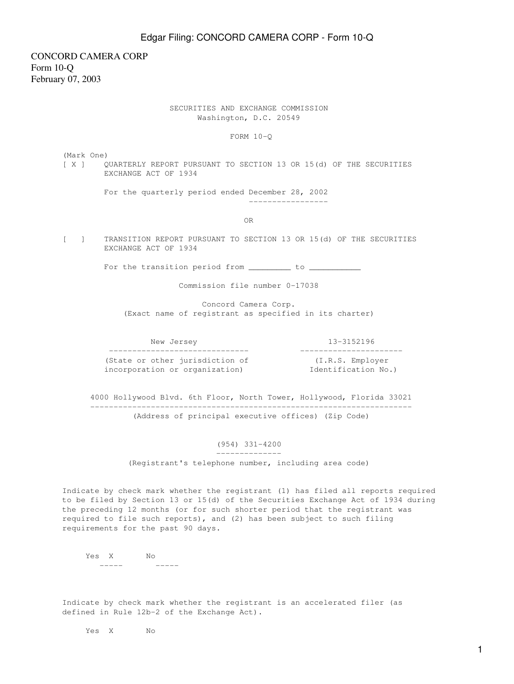CONCORD CAMERA CORP Form 10-Q February 07, 2003

### SECURITIES AND EXCHANGE COMMISSION Washington, D.C. 20549

FORM 10-Q

(Mark One)

[ X ] QUARTERLY REPORT PURSUANT TO SECTION 13 OR 15(d) OF THE SECURITIES EXCHANGE ACT OF 1934

For the quarterly period ended December 28, 2002

OR

-----------------

[ ] TRANSITION REPORT PURSUANT TO SECTION 13 OR 15(d) OF THE SECURITIES EXCHANGE ACT OF 1934

For the transition period from \_\_\_\_\_\_\_\_\_\_ to \_\_\_\_\_\_

Commission file number 0-17038

 Concord Camera Corp. (Exact name of registrant as specified in its charter)

New Jersey 13-3152196

 ------------------------------ ---------------------- (State or other jurisdiction of (I.R.S. Employer incorporation or organization) and identification No.)

 4000 Hollywood Blvd. 6th Floor, North Tower, Hollywood, Florida 33021 --------------------------------------------------------------------- (Address of principal executive offices) (Zip Code)

#### (954) 331-4200

 -------------- (Registrant's telephone number, including area code)

Indicate by check mark whether the registrant (1) has filed all reports required to be filed by Section 13 or 15(d) of the Securities Exchange Act of 1934 during the preceding 12 months (or for such shorter period that the registrant was required to file such reports), and (2) has been subject to such filing requirements for the past 90 days.

 Yes X No ----- -----

Indicate by check mark whether the registrant is an accelerated filer (as defined in Rule 12b-2 of the Exchange Act).

Yes X No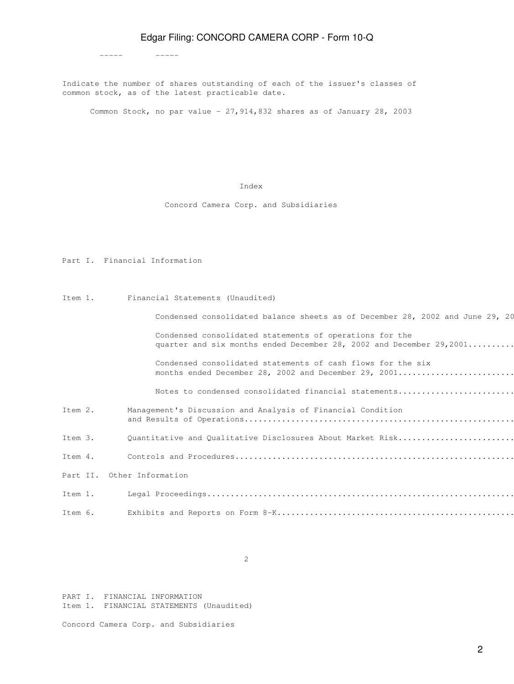Indicate the number of shares outstanding of each of the issuer's classes of common stock, as of the latest practicable date.

Common Stock, no par value - 27,914,832 shares as of January 28, 2003

#### Index

Concord Camera Corp. and Subsidiaries

Part I. Financial Information

Item 1. Financial Statements (Unaudited)

----- -----

Condensed consolidated balance sheets as of December 28, 2002 and June 29, 20

 Condensed consolidated statements of operations for the quarter and six months ended December 28, 2002 and December  $29,2001$ .........

 Condensed consolidated statements of cash flows for the six months ended December 28, 2002 and December 29, 2001..........................

Notes to condensed consolidated financial statements..........................

Item 2. Management's Discussion and Analysis of Financial Condition and Results of Operations..........................................................................................11

Item 3. Quantitative and Qualitative Disclosures About Market Risk.........................

Item 4. Controls and Procedures............................................................................................19 Part II. Other Information Item 1. Legal Proceedings..................................................................................................20 Item 6. Exhibits and Reports on Form 8-K...................................................................................20

2

PART I. FINANCIAL INFORMATION Item 1. FINANCIAL STATEMENTS (Unaudited)

Concord Camera Corp. and Subsidiaries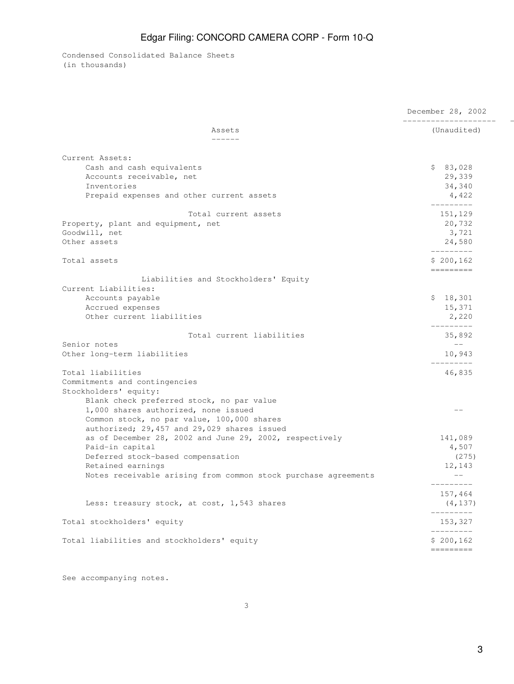Condensed Consolidated Balance Sheets (in thousands)

|                                                                | December 28, 2002<br>_____________________                                                                                                                                                                                                                                                                                                                |  |  |
|----------------------------------------------------------------|-----------------------------------------------------------------------------------------------------------------------------------------------------------------------------------------------------------------------------------------------------------------------------------------------------------------------------------------------------------|--|--|
| Assets<br>-------                                              | (Unaudited)                                                                                                                                                                                                                                                                                                                                               |  |  |
| Current Assets:                                                |                                                                                                                                                                                                                                                                                                                                                           |  |  |
| Cash and cash equivalents                                      |                                                                                                                                                                                                                                                                                                                                                           |  |  |
| Accounts receivable, net                                       |                                                                                                                                                                                                                                                                                                                                                           |  |  |
| Inventories                                                    |                                                                                                                                                                                                                                                                                                                                                           |  |  |
| Prepaid expenses and other current assets                      | 4,422                                                                                                                                                                                                                                                                                                                                                     |  |  |
|                                                                | \$83,028<br>29,339<br>34,340<br>---------<br>151,129<br>20,732<br>3,721<br>24,580<br>----------<br>\$200,162<br>=========<br>\$18,301<br>15,371<br>2,220<br>---------<br>35,892<br>$---$<br>10,943<br>_________<br>46,835<br>$-$<br>141,089<br>4,507<br>(275)<br>12,143<br>$--$<br>---------<br>157,464<br>(4, 137)<br>----------<br>153,327<br>--------- |  |  |
| Total current assets                                           |                                                                                                                                                                                                                                                                                                                                                           |  |  |
| Property, plant and equipment, net                             |                                                                                                                                                                                                                                                                                                                                                           |  |  |
| Goodwill, net                                                  |                                                                                                                                                                                                                                                                                                                                                           |  |  |
| Other assets                                                   |                                                                                                                                                                                                                                                                                                                                                           |  |  |
| Total assets                                                   |                                                                                                                                                                                                                                                                                                                                                           |  |  |
| Liabilities and Stockholders' Equity                           |                                                                                                                                                                                                                                                                                                                                                           |  |  |
| Current Liabilities:                                           |                                                                                                                                                                                                                                                                                                                                                           |  |  |
| Accounts payable                                               |                                                                                                                                                                                                                                                                                                                                                           |  |  |
| Accrued expenses                                               |                                                                                                                                                                                                                                                                                                                                                           |  |  |
| Other current liabilities                                      |                                                                                                                                                                                                                                                                                                                                                           |  |  |
| Total current liabilities                                      |                                                                                                                                                                                                                                                                                                                                                           |  |  |
| Senior notes                                                   |                                                                                                                                                                                                                                                                                                                                                           |  |  |
| Other long-term liabilities                                    |                                                                                                                                                                                                                                                                                                                                                           |  |  |
| Total liabilities                                              |                                                                                                                                                                                                                                                                                                                                                           |  |  |
| Commitments and contingencies                                  |                                                                                                                                                                                                                                                                                                                                                           |  |  |
| Stockholders' equity:                                          |                                                                                                                                                                                                                                                                                                                                                           |  |  |
| Blank check preferred stock, no par value                      |                                                                                                                                                                                                                                                                                                                                                           |  |  |
| 1,000 shares authorized, none issued                           |                                                                                                                                                                                                                                                                                                                                                           |  |  |
| Common stock, no par value, 100,000 shares                     |                                                                                                                                                                                                                                                                                                                                                           |  |  |
| authorized; 29,457 and 29,029 shares issued                    |                                                                                                                                                                                                                                                                                                                                                           |  |  |
| as of December 28, 2002 and June 29, 2002, respectively        |                                                                                                                                                                                                                                                                                                                                                           |  |  |
| Paid-in capital                                                |                                                                                                                                                                                                                                                                                                                                                           |  |  |
| Deferred stock-based compensation                              |                                                                                                                                                                                                                                                                                                                                                           |  |  |
| Retained earnings                                              |                                                                                                                                                                                                                                                                                                                                                           |  |  |
|                                                                |                                                                                                                                                                                                                                                                                                                                                           |  |  |
| Notes receivable arising from common stock purchase agreements |                                                                                                                                                                                                                                                                                                                                                           |  |  |
|                                                                |                                                                                                                                                                                                                                                                                                                                                           |  |  |
| Less: treasury stock, at cost, 1,543 shares                    |                                                                                                                                                                                                                                                                                                                                                           |  |  |
| Total stockholders' equity                                     |                                                                                                                                                                                                                                                                                                                                                           |  |  |
| Total liabilities and stockholders' equity                     | \$200,162                                                                                                                                                                                                                                                                                                                                                 |  |  |
|                                                                | $=$ = = = = = = = =                                                                                                                                                                                                                                                                                                                                       |  |  |

See accompanying notes.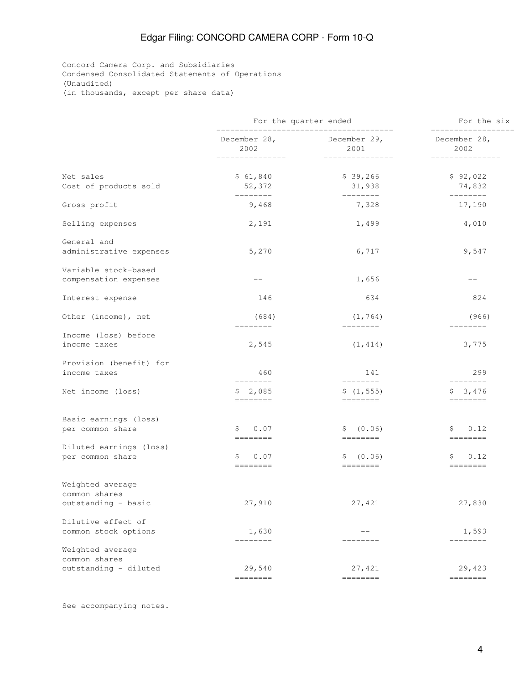Concord Camera Corp. and Subsidiaries Condensed Consolidated Statements of Operations (Unaudited) (in thousands, except per share data)

|                                               |                         | For the quarter ended                                                                                                                                                                                                                                                                                                                                                                                                                                                                                                                                                | For the six<br>-----------------                                                                                                                                                                                                                                                                                                                                                                                                                                                                                                                                     |  |
|-----------------------------------------------|-------------------------|----------------------------------------------------------------------------------------------------------------------------------------------------------------------------------------------------------------------------------------------------------------------------------------------------------------------------------------------------------------------------------------------------------------------------------------------------------------------------------------------------------------------------------------------------------------------|----------------------------------------------------------------------------------------------------------------------------------------------------------------------------------------------------------------------------------------------------------------------------------------------------------------------------------------------------------------------------------------------------------------------------------------------------------------------------------------------------------------------------------------------------------------------|--|
|                                               | 2002<br>--------------- | December 28, December 29,<br>2001<br>---------------                                                                                                                                                                                                                                                                                                                                                                                                                                                                                                                 | December 28,<br>2002<br>_______________                                                                                                                                                                                                                                                                                                                                                                                                                                                                                                                              |  |
| Net sales<br>Cost of products sold            | \$61,840<br>52,372      | \$39,266<br>31,938                                                                                                                                                                                                                                                                                                                                                                                                                                                                                                                                                   | \$92,022<br>74,832                                                                                                                                                                                                                                                                                                                                                                                                                                                                                                                                                   |  |
| Gross profit                                  | ---------<br>9,468      | ---------<br>7,328                                                                                                                                                                                                                                                                                                                                                                                                                                                                                                                                                   | $---------$<br>17,190                                                                                                                                                                                                                                                                                                                                                                                                                                                                                                                                                |  |
| Selling expenses                              | 2,191                   | 1,499                                                                                                                                                                                                                                                                                                                                                                                                                                                                                                                                                                | 4,010                                                                                                                                                                                                                                                                                                                                                                                                                                                                                                                                                                |  |
| General and<br>administrative expenses        | 5,270                   | 6,717                                                                                                                                                                                                                                                                                                                                                                                                                                                                                                                                                                | 9,547                                                                                                                                                                                                                                                                                                                                                                                                                                                                                                                                                                |  |
| Variable stock-based<br>compensation expenses | $--$                    | 1,656                                                                                                                                                                                                                                                                                                                                                                                                                                                                                                                                                                | $\qquad \qquad -$                                                                                                                                                                                                                                                                                                                                                                                                                                                                                                                                                    |  |
| Interest expense                              | 146                     | 634                                                                                                                                                                                                                                                                                                                                                                                                                                                                                                                                                                  | 824                                                                                                                                                                                                                                                                                                                                                                                                                                                                                                                                                                  |  |
| Other (income), net                           | (684)                   | (1, 764)                                                                                                                                                                                                                                                                                                                                                                                                                                                                                                                                                             | (966)                                                                                                                                                                                                                                                                                                                                                                                                                                                                                                                                                                |  |
| Income (loss) before<br>income taxes          | --------<br>2,545       | $- - - - - - - -$<br>(1, 414)                                                                                                                                                                                                                                                                                                                                                                                                                                                                                                                                        | ---------<br>3,775                                                                                                                                                                                                                                                                                                                                                                                                                                                                                                                                                   |  |
| Provision (benefit) for<br>income taxes       | 460<br>--------         | 141<br>--------                                                                                                                                                                                                                                                                                                                                                                                                                                                                                                                                                      | 299<br>$- - - - - - - -$                                                                                                                                                                                                                                                                                                                                                                                                                                                                                                                                             |  |
| Net income (loss)                             | \$2,085                 | \$(1, 555)<br>$\qquad \qquad \displaystyle =\qquad \qquad \qquad \qquad \displaystyle =\qquad \qquad$                                                                                                                                                                                                                                                                                                                                                                                                                                                                | \$3,476                                                                                                                                                                                                                                                                                                                                                                                                                                                                                                                                                              |  |
| Basic earnings (loss)<br>per common share     | 0.07<br>S.              | \$ (0.06)                                                                                                                                                                                                                                                                                                                                                                                                                                                                                                                                                            | 0.12<br>S                                                                                                                                                                                                                                                                                                                                                                                                                                                                                                                                                            |  |
| Diluted earnings (loss)<br>per common share   | \$<br>0.07              | \$ (0.06)<br>--------                                                                                                                                                                                                                                                                                                                                                                                                                                                                                                                                                | 0.12<br>\$.                                                                                                                                                                                                                                                                                                                                                                                                                                                                                                                                                          |  |
| Weighted average                              |                         |                                                                                                                                                                                                                                                                                                                                                                                                                                                                                                                                                                      |                                                                                                                                                                                                                                                                                                                                                                                                                                                                                                                                                                      |  |
| common shares<br>outstanding - basic          | 27,910                  | 27,421                                                                                                                                                                                                                                                                                                                                                                                                                                                                                                                                                               | 27,830                                                                                                                                                                                                                                                                                                                                                                                                                                                                                                                                                               |  |
| Dilutive effect of<br>common stock options    | 1,630<br>________       | $- -$<br>--------                                                                                                                                                                                                                                                                                                                                                                                                                                                                                                                                                    | 1,593<br>________                                                                                                                                                                                                                                                                                                                                                                                                                                                                                                                                                    |  |
| Weighted average<br>common shares             |                         |                                                                                                                                                                                                                                                                                                                                                                                                                                                                                                                                                                      |                                                                                                                                                                                                                                                                                                                                                                                                                                                                                                                                                                      |  |
| outstanding - diluted                         | 29,540<br>--------      | 27,421<br>$\begin{tabular}{ll} \multicolumn{3}{l}{{\color{red}\boldsymbol{=}}} & \multicolumn{3}{l}{\color{blue}\boldsymbol{=}} & \multicolumn{3}{l}{\color{blue}\boldsymbol{=}} & \multicolumn{3}{l}{\color{blue}\boldsymbol{=}} & \multicolumn{3}{l}{\color{blue}\boldsymbol{=}} & \multicolumn{3}{l}{\color{blue}\boldsymbol{=}} & \multicolumn{3}{l}{\color{blue}\boldsymbol{=}} & \multicolumn{3}{l}{\color{blue}\boldsymbol{=}} & \multicolumn{3}{l}{\color{blue}\boldsymbol{=}} & \multicolumn{3}{l}{\color{blue}\boldsymbol{=}} & \multicolumn{3}{l}{\color$ | 29,423<br>$\begin{tabular}{ll} \multicolumn{3}{l}{{\color{red}\boldsymbol{=}}} & \multicolumn{3}{l}{\color{blue}\boldsymbol{=}} & \multicolumn{3}{l}{\color{blue}\boldsymbol{=}} & \multicolumn{3}{l}{\color{blue}\boldsymbol{=}} & \multicolumn{3}{l}{\color{blue}\boldsymbol{=}} & \multicolumn{3}{l}{\color{blue}\boldsymbol{=}} & \multicolumn{3}{l}{\color{blue}\boldsymbol{=}} & \multicolumn{3}{l}{\color{blue}\boldsymbol{=}} & \multicolumn{3}{l}{\color{blue}\boldsymbol{=}} & \multicolumn{3}{l}{\color{blue}\boldsymbol{=}} & \multicolumn{3}{l}{\color$ |  |

See accompanying notes.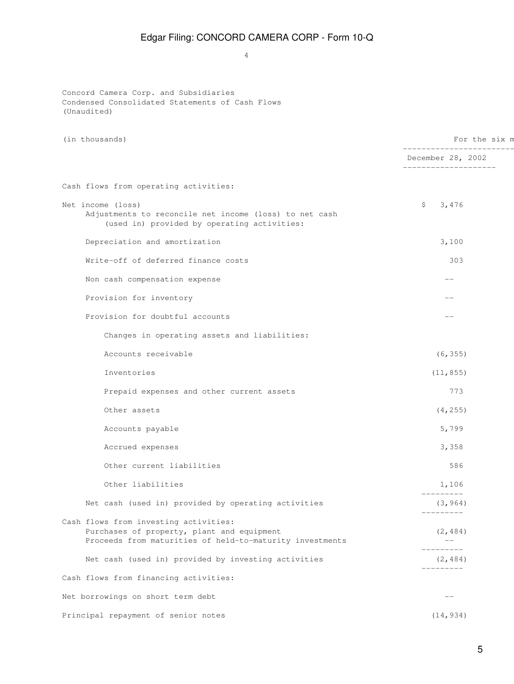4

Concord Camera Corp. and Subsidiaries Condensed Consolidated Statements of Cash Flows (Unaudited)

| (in thousands)                                                                                                                                  | For the six m                                                       |  |  |
|-------------------------------------------------------------------------------------------------------------------------------------------------|---------------------------------------------------------------------|--|--|
|                                                                                                                                                 | ----------------------<br>December 28, 2002<br>-------------------- |  |  |
| Cash flows from operating activities:                                                                                                           |                                                                     |  |  |
| Net income (loss)<br>Adjustments to reconcile net income (loss) to net cash<br>(used in) provided by operating activities:                      | \$<br>3,476                                                         |  |  |
| Depreciation and amortization                                                                                                                   | 3,100                                                               |  |  |
| Write-off of deferred finance costs                                                                                                             | 303                                                                 |  |  |
| Non cash compensation expense                                                                                                                   | $- -$                                                               |  |  |
| Provision for inventory                                                                                                                         | $ -$                                                                |  |  |
| Provision for doubtful accounts                                                                                                                 | --                                                                  |  |  |
| Changes in operating assets and liabilities:                                                                                                    |                                                                     |  |  |
| Accounts receivable                                                                                                                             | (6, 355)                                                            |  |  |
| Inventories                                                                                                                                     | (11, 855)                                                           |  |  |
| Prepaid expenses and other current assets                                                                                                       | 773                                                                 |  |  |
| Other assets                                                                                                                                    | (4, 255)                                                            |  |  |
| Accounts payable                                                                                                                                | 5,799                                                               |  |  |
| Accrued expenses                                                                                                                                | 3,358                                                               |  |  |
| Other current liabilities                                                                                                                       | 586                                                                 |  |  |
| Other liabilities                                                                                                                               | 1,106<br>_________                                                  |  |  |
| Net cash (used in) provided by operating activities                                                                                             | (3, 964)<br>$- - - - - - - - -$                                     |  |  |
| Cash flows from investing activities:<br>Purchases of property, plant and equipment<br>Proceeds from maturities of held-to-maturity investments | (2, 484)                                                            |  |  |
| Net cash (used in) provided by investing activities                                                                                             | ------<br>(2, 484)<br>---------                                     |  |  |
| Cash flows from financing activities:                                                                                                           |                                                                     |  |  |
| Net borrowings on short term debt                                                                                                               | $- -$                                                               |  |  |
| Principal repayment of senior notes                                                                                                             | (14, 934)                                                           |  |  |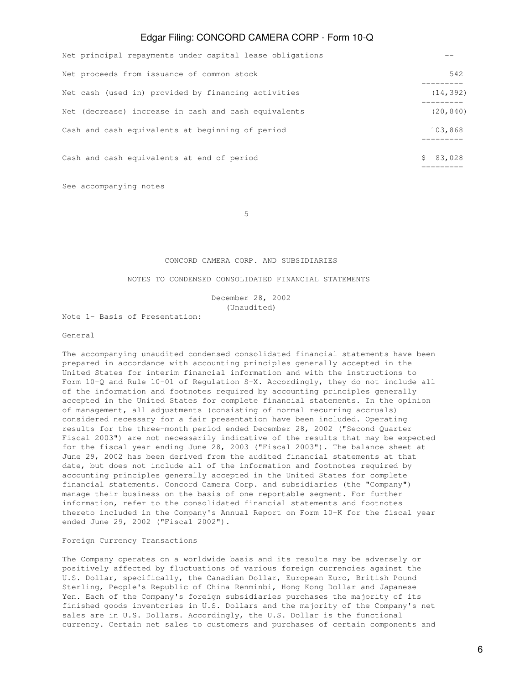| Net principal repayments under capital lease obligations |           |
|----------------------------------------------------------|-----------|
| Net proceeds from issuance of common stock               | 542       |
| Net cash (used in) provided by financing activities      | (14, 392) |
| Net (decrease) increase in cash and cash equivalents     | (20, 840) |
| Cash and cash equivalents at beginning of period         | 103,868   |
| Cash and cash equivalents at end of period               | \$83,028  |

See accompanying notes

 $5<sub>5</sub>$ 

### CONCORD CAMERA CORP. AND SUBSIDIARIES

### NOTES TO CONDENSED CONSOLIDATED FINANCIAL STATEMENTS

 December 28, 2002 (Unaudited)

Note 1- Basis of Presentation:

#### General

The accompanying unaudited condensed consolidated financial statements have been prepared in accordance with accounting principles generally accepted in the United States for interim financial information and with the instructions to Form 10-Q and Rule 10-01 of Regulation S-X. Accordingly, they do not include all of the information and footnotes required by accounting principles generally accepted in the United States for complete financial statements. In the opinion of management, all adjustments (consisting of normal recurring accruals) considered necessary for a fair presentation have been included. Operating results for the three-month period ended December 28, 2002 ("Second Quarter Fiscal 2003") are not necessarily indicative of the results that may be expected for the fiscal year ending June 28, 2003 ("Fiscal 2003"). The balance sheet at June 29, 2002 has been derived from the audited financial statements at that date, but does not include all of the information and footnotes required by accounting principles generally accepted in the United States for complete financial statements. Concord Camera Corp. and subsidiaries (the "Company") manage their business on the basis of one reportable segment. For further information, refer to the consolidated financial statements and footnotes thereto included in the Company's Annual Report on Form 10-K for the fiscal year ended June 29, 2002 ("Fiscal 2002").

### Foreign Currency Transactions

The Company operates on a worldwide basis and its results may be adversely or positively affected by fluctuations of various foreign currencies against the U.S. Dollar, specifically, the Canadian Dollar, European Euro, British Pound Sterling, People's Republic of China Renminbi, Hong Kong Dollar and Japanese Yen. Each of the Company's foreign subsidiaries purchases the majority of its finished goods inventories in U.S. Dollars and the majority of the Company's net sales are in U.S. Dollars. Accordingly, the U.S. Dollar is the functional currency. Certain net sales to customers and purchases of certain components and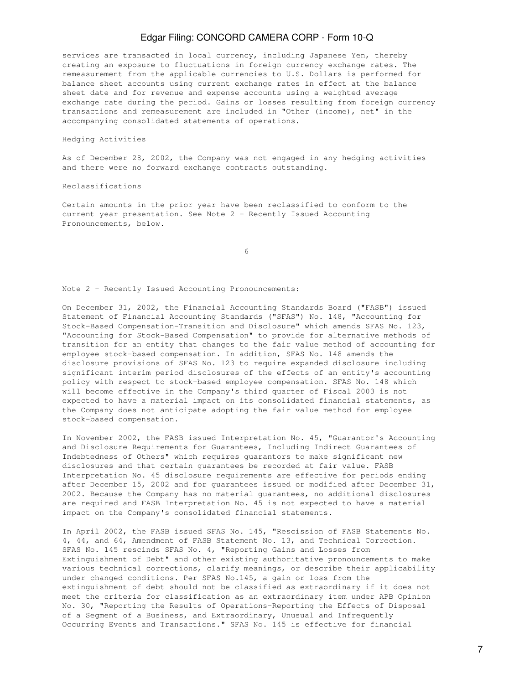services are transacted in local currency, including Japanese Yen, thereby creating an exposure to fluctuations in foreign currency exchange rates. The remeasurement from the applicable currencies to U.S. Dollars is performed for balance sheet accounts using current exchange rates in effect at the balance sheet date and for revenue and expense accounts using a weighted average exchange rate during the period. Gains or losses resulting from foreign currency transactions and remeasurement are included in "Other (income), net" in the accompanying consolidated statements of operations.

#### Hedging Activities

As of December 28, 2002, the Company was not engaged in any hedging activities and there were no forward exchange contracts outstanding.

#### Reclassifications

Certain amounts in the prior year have been reclassified to conform to the current year presentation. See Note 2 - Recently Issued Accounting Pronouncements, below.

 $\sim$  6

Note 2 - Recently Issued Accounting Pronouncements:

On December 31, 2002, the Financial Accounting Standards Board ("FASB") issued Statement of Financial Accounting Standards ("SFAS") No. 148, "Accounting for Stock-Based Compensation-Transition and Disclosure" which amends SFAS No. 123, "Accounting for Stock-Based Compensation" to provide for alternative methods of transition for an entity that changes to the fair value method of accounting for employee stock-based compensation. In addition, SFAS No. 148 amends the disclosure provisions of SFAS No. 123 to require expanded disclosure including significant interim period disclosures of the effects of an entity's accounting policy with respect to stock-based employee compensation. SFAS No. 148 which will become effective in the Company's third quarter of Fiscal 2003 is not expected to have a material impact on its consolidated financial statements, as the Company does not anticipate adopting the fair value method for employee stock-based compensation.

In November 2002, the FASB issued Interpretation No. 45, "Guarantor's Accounting and Disclosure Requirements for Guarantees, Including Indirect Guarantees of Indebtedness of Others" which requires guarantors to make significant new disclosures and that certain guarantees be recorded at fair value. FASB Interpretation No. 45 disclosure requirements are effective for periods ending after December 15, 2002 and for guarantees issued or modified after December 31, 2002. Because the Company has no material guarantees, no additional disclosures are required and FASB Interpretation No. 45 is not expected to have a material impact on the Company's consolidated financial statements.

In April 2002, the FASB issued SFAS No. 145, "Rescission of FASB Statements No. 4, 44, and 64, Amendment of FASB Statement No. 13, and Technical Correction. SFAS No. 145 rescinds SFAS No. 4, "Reporting Gains and Losses from Extinguishment of Debt" and other existing authoritative pronouncements to make various technical corrections, clarify meanings, or describe their applicability under changed conditions. Per SFAS No.145, a gain or loss from the extinguishment of debt should not be classified as extraordinary if it does not meet the criteria for classification as an extraordinary item under APB Opinion No. 30, "Reporting the Results of Operations-Reporting the Effects of Disposal of a Segment of a Business, and Extraordinary, Unusual and Infrequently Occurring Events and Transactions." SFAS No. 145 is effective for financial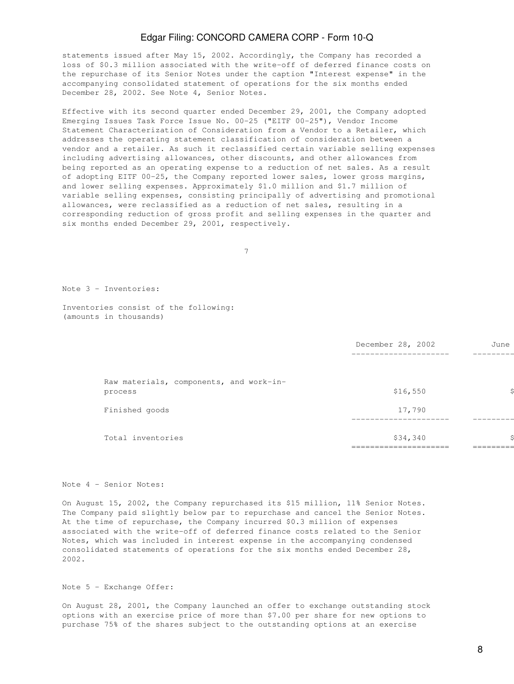statements issued after May 15, 2002. Accordingly, the Company has recorded a loss of \$0.3 million associated with the write-off of deferred finance costs on the repurchase of its Senior Notes under the caption "Interest expense" in the accompanying consolidated statement of operations for the six months ended December 28, 2002. See Note 4, Senior Notes.

Effective with its second quarter ended December 29, 2001, the Company adopted Emerging Issues Task Force Issue No. 00-25 ("EITF 00-25"), Vendor Income Statement Characterization of Consideration from a Vendor to a Retailer, which addresses the operating statement classification of consideration between a vendor and a retailer. As such it reclassified certain variable selling expenses including advertising allowances, other discounts, and other allowances from being reported as an operating expense to a reduction of net sales. As a result of adopting EITF 00-25, the Company reported lower sales, lower gross margins, and lower selling expenses. Approximately \$1.0 million and \$1.7 million of variable selling expenses, consisting principally of advertising and promotional allowances, were reclassified as a reduction of net sales, resulting in a corresponding reduction of gross profit and selling expenses in the quarter and six months ended December 29, 2001, respectively.

7

Note 3 - Inventories:

Inventories consist of the following: (amounts in thousands)

|                                         | December 28, 2002 | June |
|-----------------------------------------|-------------------|------|
|                                         |                   |      |
| Raw materials, components, and work-in- |                   |      |
| process                                 | \$16,550          |      |
| Finished goods                          | 17,790            |      |
|                                         |                   |      |
| Total inventories                       | \$34,340          |      |
|                                         |                   |      |

#### Note 4 - Senior Notes:

On August 15, 2002, the Company repurchased its \$15 million, 11% Senior Notes. The Company paid slightly below par to repurchase and cancel the Senior Notes. At the time of repurchase, the Company incurred \$0.3 million of expenses associated with the write-off of deferred finance costs related to the Senior Notes, which was included in interest expense in the accompanying condensed consolidated statements of operations for the six months ended December 28, 2002.

Note 5 - Exchange Offer:

On August 28, 2001, the Company launched an offer to exchange outstanding stock options with an exercise price of more than \$7.00 per share for new options to purchase 75% of the shares subject to the outstanding options at an exercise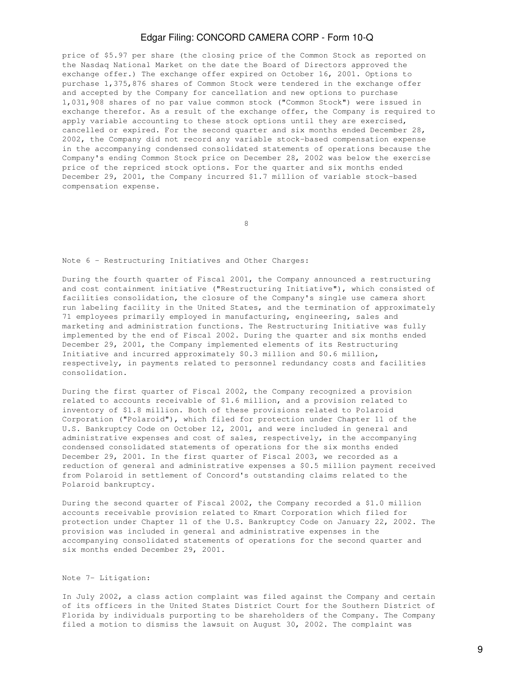price of \$5.97 per share (the closing price of the Common Stock as reported on the Nasdaq National Market on the date the Board of Directors approved the exchange offer.) The exchange offer expired on October 16, 2001. Options to purchase 1,375,876 shares of Common Stock were tendered in the exchange offer and accepted by the Company for cancellation and new options to purchase 1,031,908 shares of no par value common stock ("Common Stock") were issued in exchange therefor. As a result of the exchange offer, the Company is required to apply variable accounting to these stock options until they are exercised, cancelled or expired. For the second quarter and six months ended December 28, 2002, the Company did not record any variable stock-based compensation expense in the accompanying condensed consolidated statements of operations because the Company's ending Common Stock price on December 28, 2002 was below the exercise price of the repriced stock options. For the quarter and six months ended December 29, 2001, the Company incurred \$1.7 million of variable stock-based compensation expense.

en andere de la provincia de la provincia de la provincia de la provincia de la provincia de la provincia de<br>En la provincia de la provincia de la provincia de la provincia de la provincia de la provincia de la provinci

Note 6 - Restructuring Initiatives and Other Charges:

During the fourth quarter of Fiscal 2001, the Company announced a restructuring and cost containment initiative ("Restructuring Initiative"), which consisted of facilities consolidation, the closure of the Company's single use camera short run labeling facility in the United States, and the termination of approximately 71 employees primarily employed in manufacturing, engineering, sales and marketing and administration functions. The Restructuring Initiative was fully implemented by the end of Fiscal 2002. During the quarter and six months ended December 29, 2001, the Company implemented elements of its Restructuring Initiative and incurred approximately \$0.3 million and \$0.6 million, respectively, in payments related to personnel redundancy costs and facilities consolidation.

During the first quarter of Fiscal 2002, the Company recognized a provision related to accounts receivable of \$1.6 million, and a provision related to inventory of \$1.8 million. Both of these provisions related to Polaroid Corporation ("Polaroid"), which filed for protection under Chapter 11 of the U.S. Bankruptcy Code on October 12, 2001, and were included in general and administrative expenses and cost of sales, respectively, in the accompanying condensed consolidated statements of operations for the six months ended December 29, 2001. In the first quarter of Fiscal 2003, we recorded as a reduction of general and administrative expenses a \$0.5 million payment received from Polaroid in settlement of Concord's outstanding claims related to the Polaroid bankruptcy.

During the second quarter of Fiscal 2002, the Company recorded a \$1.0 million accounts receivable provision related to Kmart Corporation which filed for protection under Chapter 11 of the U.S. Bankruptcy Code on January 22, 2002. The provision was included in general and administrative expenses in the accompanying consolidated statements of operations for the second quarter and six months ended December 29, 2001.

#### Note 7- Litigation:

In July 2002, a class action complaint was filed against the Company and certain of its officers in the United States District Court for the Southern District of Florida by individuals purporting to be shareholders of the Company. The Company filed a motion to dismiss the lawsuit on August 30, 2002. The complaint was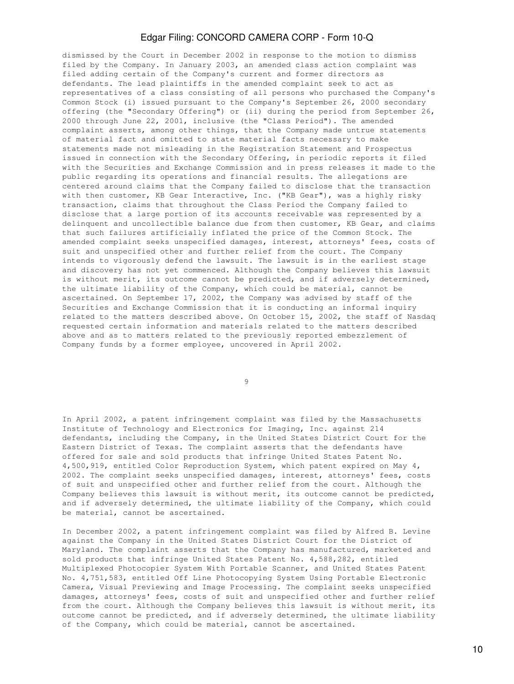dismissed by the Court in December 2002 in response to the motion to dismiss filed by the Company. In January 2003, an amended class action complaint was filed adding certain of the Company's current and former directors as defendants. The lead plaintiffs in the amended complaint seek to act as representatives of a class consisting of all persons who purchased the Company's Common Stock (i) issued pursuant to the Company's September 26, 2000 secondary offering (the "Secondary Offering") or (ii) during the period from September 26, 2000 through June 22, 2001, inclusive (the "Class Period"). The amended complaint asserts, among other things, that the Company made untrue statements of material fact and omitted to state material facts necessary to make statements made not misleading in the Registration Statement and Prospectus issued in connection with the Secondary Offering, in periodic reports it filed with the Securities and Exchange Commission and in press releases it made to the public regarding its operations and financial results. The allegations are centered around claims that the Company failed to disclose that the transaction with then customer, KB Gear Interactive, Inc. ("KB Gear"), was a highly risky transaction, claims that throughout the Class Period the Company failed to disclose that a large portion of its accounts receivable was represented by a delinquent and uncollectible balance due from then customer, KB Gear, and claims that such failures artificially inflated the price of the Common Stock. The amended complaint seeks unspecified damages, interest, attorneys' fees, costs of suit and unspecified other and further relief from the court. The Company intends to vigorously defend the lawsuit. The lawsuit is in the earliest stage and discovery has not yet commenced. Although the Company believes this lawsuit is without merit, its outcome cannot be predicted, and if adversely determined, the ultimate liability of the Company, which could be material, cannot be ascertained. On September 17, 2002, the Company was advised by staff of the Securities and Exchange Commission that it is conducting an informal inquiry related to the matters described above. On October 15, 2002, the staff of Nasdaq requested certain information and materials related to the matters described above and as to matters related to the previously reported embezzlement of Company funds by a former employee, uncovered in April 2002.

9

In April 2002, a patent infringement complaint was filed by the Massachusetts Institute of Technology and Electronics for Imaging, Inc. against 214 defendants, including the Company, in the United States District Court for the Eastern District of Texas. The complaint asserts that the defendants have offered for sale and sold products that infringe United States Patent No. 4,500,919, entitled Color Reproduction System, which patent expired on May 4, 2002. The complaint seeks unspecified damages, interest, attorneys' fees, costs of suit and unspecified other and further relief from the court. Although the Company believes this lawsuit is without merit, its outcome cannot be predicted, and if adversely determined, the ultimate liability of the Company, which could be material, cannot be ascertained.

In December 2002, a patent infringement complaint was filed by Alfred B. Levine against the Company in the United States District Court for the District of Maryland. The complaint asserts that the Company has manufactured, marketed and sold products that infringe United States Patent No. 4,588,282, entitled Multiplexed Photocopier System With Portable Scanner, and United States Patent No. 4,751,583, entitled Off Line Photocopying System Using Portable Electronic Camera, Visual Previewing and Image Processing. The complaint seeks unspecified damages, attorneys' fees, costs of suit and unspecified other and further relief from the court. Although the Company believes this lawsuit is without merit, its outcome cannot be predicted, and if adversely determined, the ultimate liability of the Company, which could be material, cannot be ascertained.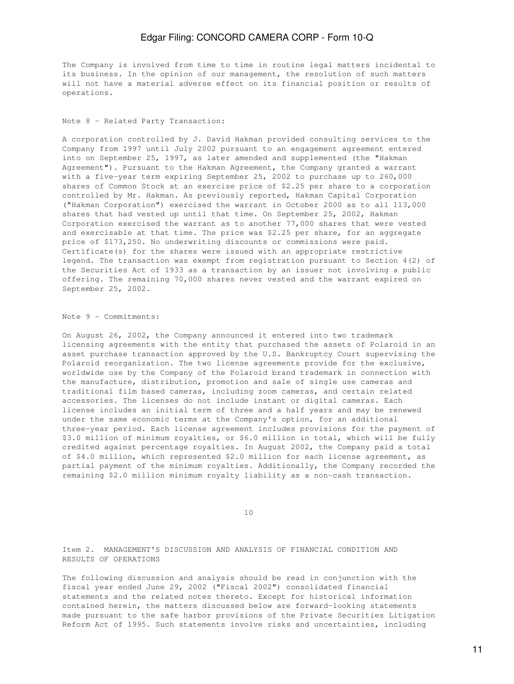The Company is involved from time to time in routine legal matters incidental to its business. In the opinion of our management, the resolution of such matters will not have a material adverse effect on its financial position or results of operations.

Note 8 - Related Party Transaction:

A corporation controlled by J. David Hakman provided consulting services to the Company from 1997 until July 2002 pursuant to an engagement agreement entered into on September 25, 1997, as later amended and supplemented (the "Hakman Agreement"). Pursuant to the Hakman Agreement, the Company granted a warrant with a five-year term expiring September 25, 2002 to purchase up to 260,000 shares of Common Stock at an exercise price of \$2.25 per share to a corporation controlled by Mr. Hakman. As previously reported, Hakman Capital Corporation ("Hakman Corporation") exercised the warrant in October 2000 as to all 113,000 shares that had vested up until that time. On September 25, 2002, Hakman Corporation exercised the warrant as to another 77,000 shares that were vested and exercisable at that time. The price was \$2.25 per share, for an aggregate price of \$173,250. No underwriting discounts or commissions were paid. Certificate(s) for the shares were issued with an appropriate restrictive legend. The transaction was exempt from registration pursuant to Section 4(2) of the Securities Act of 1933 as a transaction by an issuer not involving a public offering. The remaining 70,000 shares never vested and the warrant expired on September 25, 2002.

Note 9 - Commitments:

On August 26, 2002, the Company announced it entered into two trademark licensing agreements with the entity that purchased the assets of Polaroid in an asset purchase transaction approved by the U.S. Bankruptcy Court supervising the Polaroid reorganization. The two license agreements provide for the exclusive, worldwide use by the Company of the Polaroid brand trademark in connection with the manufacture, distribution, promotion and sale of single use cameras and traditional film based cameras, including zoom cameras, and certain related accessories. The licenses do not include instant or digital cameras. Each license includes an initial term of three and a half years and may be renewed under the same economic terms at the Company's option, for an additional three-year period. Each license agreement includes provisions for the payment of \$3.0 million of minimum royalties, or \$6.0 million in total, which will be fully credited against percentage royalties. In August 2002, the Company paid a total of \$4.0 million, which represented \$2.0 million for each license agreement, as partial payment of the minimum royalties. Additionally, the Company recorded the remaining \$2.0 million minimum royalty liability as a non-cash transaction.

10

Item 2. MANAGEMENT'S DISCUSSION AND ANALYSIS OF FINANCIAL CONDITION AND RESULTS OF OPERATIONS

The following discussion and analysis should be read in conjunction with the fiscal year ended June 29, 2002 ("Fiscal 2002") consolidated financial statements and the related notes thereto. Except for historical information contained herein, the matters discussed below are forward-looking statements made pursuant to the safe harbor provisions of the Private Securities Litigation Reform Act of 1995. Such statements involve risks and uncertainties, including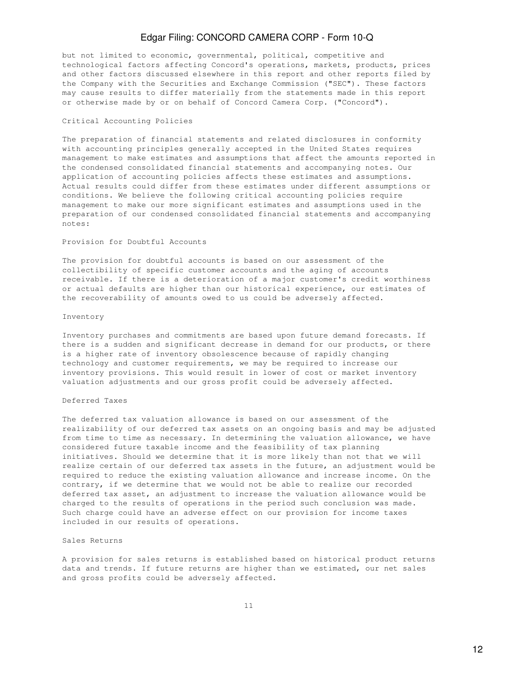but not limited to economic, governmental, political, competitive and technological factors affecting Concord's operations, markets, products, prices and other factors discussed elsewhere in this report and other reports filed by the Company with the Securities and Exchange Commission ("SEC"). These factors may cause results to differ materially from the statements made in this report or otherwise made by or on behalf of Concord Camera Corp. ("Concord").

#### Critical Accounting Policies

The preparation of financial statements and related disclosures in conformity with accounting principles generally accepted in the United States requires management to make estimates and assumptions that affect the amounts reported in the condensed consolidated financial statements and accompanying notes. Our application of accounting policies affects these estimates and assumptions. Actual results could differ from these estimates under different assumptions or conditions. We believe the following critical accounting policies require management to make our more significant estimates and assumptions used in the preparation of our condensed consolidated financial statements and accompanying notes:

### Provision for Doubtful Accounts

The provision for doubtful accounts is based on our assessment of the collectibility of specific customer accounts and the aging of accounts receivable. If there is a deterioration of a major customer's credit worthiness or actual defaults are higher than our historical experience, our estimates of the recoverability of amounts owed to us could be adversely affected.

#### Inventory

Inventory purchases and commitments are based upon future demand forecasts. If there is a sudden and significant decrease in demand for our products, or there is a higher rate of inventory obsolescence because of rapidly changing technology and customer requirements, we may be required to increase our inventory provisions. This would result in lower of cost or market inventory valuation adjustments and our gross profit could be adversely affected.

#### Deferred Taxes

The deferred tax valuation allowance is based on our assessment of the realizability of our deferred tax assets on an ongoing basis and may be adjusted from time to time as necessary. In determining the valuation allowance, we have considered future taxable income and the feasibility of tax planning initiatives. Should we determine that it is more likely than not that we will realize certain of our deferred tax assets in the future, an adjustment would be required to reduce the existing valuation allowance and increase income. On the contrary, if we determine that we would not be able to realize our recorded deferred tax asset, an adjustment to increase the valuation allowance would be charged to the results of operations in the period such conclusion was made. Such charge could have an adverse effect on our provision for income taxes included in our results of operations.

### Sales Returns

A provision for sales returns is established based on historical product returns data and trends. If future returns are higher than we estimated, our net sales and gross profits could be adversely affected.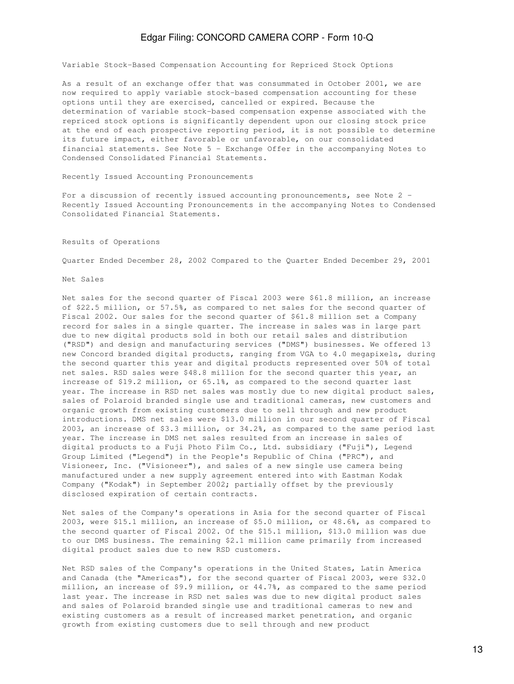Variable Stock-Based Compensation Accounting for Repriced Stock Options

As a result of an exchange offer that was consummated in October 2001, we are now required to apply variable stock-based compensation accounting for these options until they are exercised, cancelled or expired. Because the determination of variable stock-based compensation expense associated with the repriced stock options is significantly dependent upon our closing stock price at the end of each prospective reporting period, it is not possible to determine its future impact, either favorable or unfavorable, on our consolidated financial statements. See Note 5 - Exchange Offer in the accompanying Notes to Condensed Consolidated Financial Statements.

Recently Issued Accounting Pronouncements

For a discussion of recently issued accounting pronouncements, see Note 2 -Recently Issued Accounting Pronouncements in the accompanying Notes to Condensed Consolidated Financial Statements.

Results of Operations

Quarter Ended December 28, 2002 Compared to the Quarter Ended December 29, 2001

Net Sales

Net sales for the second quarter of Fiscal 2003 were \$61.8 million, an increase of \$22.5 million, or 57.5%, as compared to net sales for the second quarter of Fiscal 2002. Our sales for the second quarter of \$61.8 million set a Company record for sales in a single quarter. The increase in sales was in large part due to new digital products sold in both our retail sales and distribution ("RSD") and design and manufacturing services ("DMS") businesses. We offered 13 new Concord branded digital products, ranging from VGA to 4.0 megapixels, during the second quarter this year and digital products represented over 50% of total net sales. RSD sales were \$48.8 million for the second quarter this year, an increase of \$19.2 million, or 65.1%, as compared to the second quarter last year. The increase in RSD net sales was mostly due to new digital product sales, sales of Polaroid branded single use and traditional cameras, new customers and organic growth from existing customers due to sell through and new product introductions. DMS net sales were \$13.0 million in our second quarter of Fiscal 2003, an increase of \$3.3 million, or 34.2%, as compared to the same period last year. The increase in DMS net sales resulted from an increase in sales of digital products to a Fuji Photo Film Co., Ltd. subsidiary ("Fuji"), Legend Group Limited ("Legend") in the People's Republic of China ("PRC"), and Visioneer, Inc. ("Visioneer"), and sales of a new single use camera being manufactured under a new supply agreement entered into with Eastman Kodak Company ("Kodak") in September 2002; partially offset by the previously disclosed expiration of certain contracts.

Net sales of the Company's operations in Asia for the second quarter of Fiscal 2003, were \$15.1 million, an increase of \$5.0 million, or 48.6%, as compared to the second quarter of Fiscal 2002. Of the \$15.1 million, \$13.0 million was due to our DMS business. The remaining \$2.1 million came primarily from increased digital product sales due to new RSD customers.

Net RSD sales of the Company's operations in the United States, Latin America and Canada (the "Americas"), for the second quarter of Fiscal 2003, were \$32.0 million, an increase of \$9.9 million, or 44.7%, as compared to the same period last year. The increase in RSD net sales was due to new digital product sales and sales of Polaroid branded single use and traditional cameras to new and existing customers as a result of increased market penetration, and organic growth from existing customers due to sell through and new product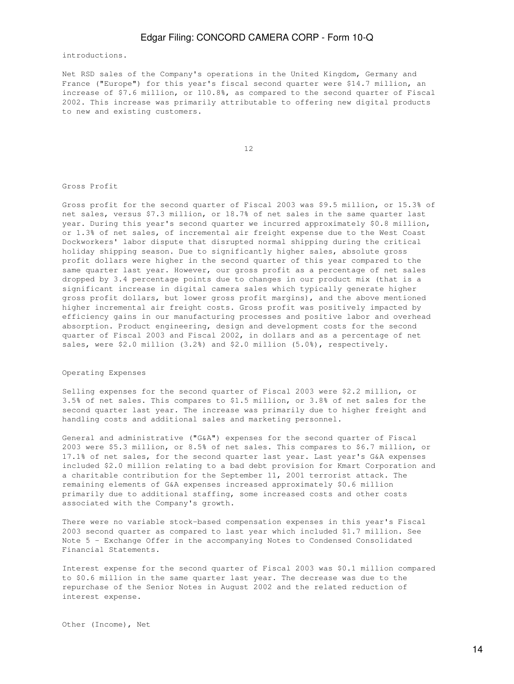introductions.

Net RSD sales of the Company's operations in the United Kingdom, Germany and France ("Europe") for this year's fiscal second quarter were \$14.7 million, an increase of \$7.6 million, or 110.8%, as compared to the second quarter of Fiscal 2002. This increase was primarily attributable to offering new digital products to new and existing customers.

12

Gross Profit

Gross profit for the second quarter of Fiscal 2003 was \$9.5 million, or 15.3% of net sales, versus \$7.3 million, or 18.7% of net sales in the same quarter last year. During this year's second quarter we incurred approximately \$0.8 million, or 1.3% of net sales, of incremental air freight expense due to the West Coast Dockworkers' labor dispute that disrupted normal shipping during the critical holiday shipping season. Due to significantly higher sales, absolute gross profit dollars were higher in the second quarter of this year compared to the same quarter last year. However, our gross profit as a percentage of net sales dropped by 3.4 percentage points due to changes in our product mix (that is a significant increase in digital camera sales which typically generate higher gross profit dollars, but lower gross profit margins), and the above mentioned higher incremental air freight costs. Gross profit was positively impacted by efficiency gains in our manufacturing processes and positive labor and overhead absorption. Product engineering, design and development costs for the second quarter of Fiscal 2003 and Fiscal 2002, in dollars and as a percentage of net sales, were \$2.0 million (3.2%) and \$2.0 million (5.0%), respectively.

#### Operating Expenses

Selling expenses for the second quarter of Fiscal 2003 were \$2.2 million, or 3.5% of net sales. This compares to \$1.5 million, or 3.8% of net sales for the second quarter last year. The increase was primarily due to higher freight and handling costs and additional sales and marketing personnel.

General and administrative ("G&A") expenses for the second quarter of Fiscal 2003 were \$5.3 million, or 8.5% of net sales. This compares to \$6.7 million, or 17.1% of net sales, for the second quarter last year. Last year's G&A expenses included \$2.0 million relating to a bad debt provision for Kmart Corporation and a charitable contribution for the September 11, 2001 terrorist attack. The remaining elements of G&A expenses increased approximately \$0.6 million primarily due to additional staffing, some increased costs and other costs associated with the Company's growth.

There were no variable stock-based compensation expenses in this year's Fiscal 2003 second quarter as compared to last year which included \$1.7 million. See Note 5 - Exchange Offer in the accompanying Notes to Condensed Consolidated Financial Statements.

Interest expense for the second quarter of Fiscal 2003 was \$0.1 million compared to \$0.6 million in the same quarter last year. The decrease was due to the repurchase of the Senior Notes in August 2002 and the related reduction of interest expense.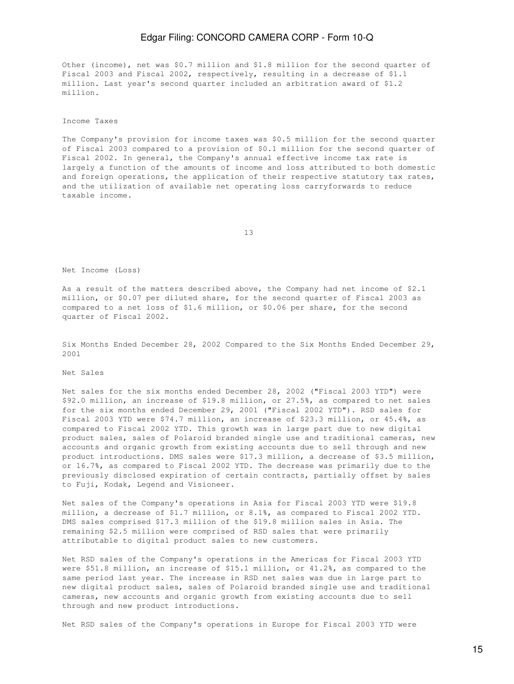Other (income), net was \$0.7 million and \$1.8 million for the second quarter of Fiscal 2003 and Fiscal 2002, respectively, resulting in a decrease of \$1.1 million. Last year's second quarter included an arbitration award of \$1.2 million.

Income Taxes

The Company's provision for income taxes was \$0.5 million for the second quarter of Fiscal 2003 compared to a provision of \$0.1 million for the second quarter of Fiscal 2002. In general, the Company's annual effective income tax rate is largely a function of the amounts of income and loss attributed to both domestic and foreign operations, the application of their respective statutory tax rates, and the utilization of available net operating loss carryforwards to reduce taxable income.

13

Net Income (Loss)

As a result of the matters described above, the Company had net income of \$2.1 million, or \$0.07 per diluted share, for the second quarter of Fiscal 2003 as compared to a net loss of \$1.6 million, or \$0.06 per share, for the second quarter of Fiscal 2002.

Six Months Ended December 28, 2002 Compared to the Six Months Ended December 29, 2001

Net Sales

Net sales for the six months ended December 28, 2002 ("Fiscal 2003 YTD") were \$92.0 million, an increase of \$19.8 million, or 27.5%, as compared to net sales for the six months ended December 29, 2001 ("Fiscal 2002 YTD"). RSD sales for Fiscal 2003 YTD were \$74.7 million, an increase of \$23.3 million, or 45.4%, as compared to Fiscal 2002 YTD. This growth was in large part due to new digital product sales, sales of Polaroid branded single use and traditional cameras, new accounts and organic growth from existing accounts due to sell through and new product introductions. DMS sales were \$17.3 million, a decrease of \$3.5 million, or 16.7%, as compared to Fiscal 2002 YTD. The decrease was primarily due to the previously disclosed expiration of certain contracts, partially offset by sales to Fuji, Kodak, Legend and Visioneer.

Net sales of the Company's operations in Asia for Fiscal 2003 YTD were \$19.8 million, a decrease of \$1.7 million, or 8.1%, as compared to Fiscal 2002 YTD. DMS sales comprised \$17.3 million of the \$19.8 million sales in Asia. The remaining \$2.5 million were comprised of RSD sales that were primarily attributable to digital product sales to new customers.

Net RSD sales of the Company's operations in the Americas for Fiscal 2003 YTD were \$51.8 million, an increase of \$15.1 million, or 41.2%, as compared to the same period last year. The increase in RSD net sales was due in large part to new digital product sales, sales of Polaroid branded single use and traditional cameras, new accounts and organic growth from existing accounts due to sell through and new product introductions.

Net RSD sales of the Company's operations in Europe for Fiscal 2003 YTD were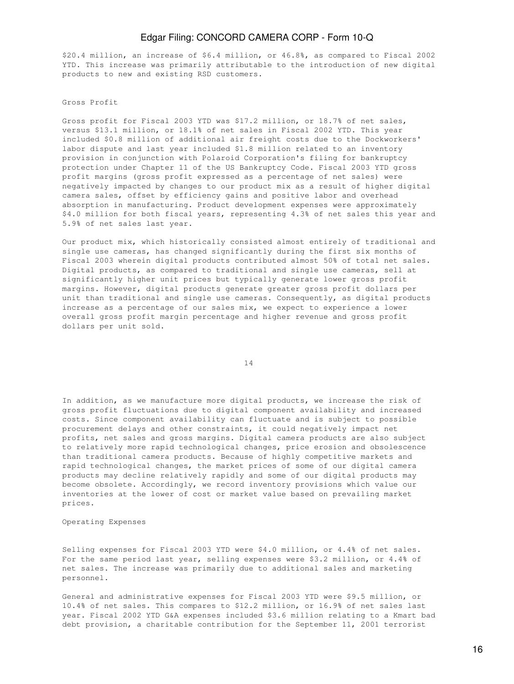\$20.4 million, an increase of \$6.4 million, or 46.8%, as compared to Fiscal 2002 YTD. This increase was primarily attributable to the introduction of new digital products to new and existing RSD customers.

#### Gross Profit

Gross profit for Fiscal 2003 YTD was \$17.2 million, or 18.7% of net sales, versus \$13.1 million, or 18.1% of net sales in Fiscal 2002 YTD. This year included \$0.8 million of additional air freight costs due to the Dockworkers' labor dispute and last year included \$1.8 million related to an inventory provision in conjunction with Polaroid Corporation's filing for bankruptcy protection under Chapter 11 of the US Bankruptcy Code. Fiscal 2003 YTD gross profit margins (gross profit expressed as a percentage of net sales) were negatively impacted by changes to our product mix as a result of higher digital camera sales, offset by efficiency gains and positive labor and overhead absorption in manufacturing. Product development expenses were approximately \$4.0 million for both fiscal years, representing 4.3% of net sales this year and 5.9% of net sales last year.

Our product mix, which historically consisted almost entirely of traditional and single use cameras, has changed significantly during the first six months of Fiscal 2003 wherein digital products contributed almost 50% of total net sales. Digital products, as compared to traditional and single use cameras, sell at significantly higher unit prices but typically generate lower gross profit margins. However, digital products generate greater gross profit dollars per unit than traditional and single use cameras. Consequently, as digital products increase as a percentage of our sales mix, we expect to experience a lower overall gross profit margin percentage and higher revenue and gross profit dollars per unit sold.

14

In addition, as we manufacture more digital products, we increase the risk of gross profit fluctuations due to digital component availability and increased costs. Since component availability can fluctuate and is subject to possible procurement delays and other constraints, it could negatively impact net profits, net sales and gross margins. Digital camera products are also subject to relatively more rapid technological changes, price erosion and obsolescence than traditional camera products. Because of highly competitive markets and rapid technological changes, the market prices of some of our digital camera products may decline relatively rapidly and some of our digital products may become obsolete. Accordingly, we record inventory provisions which value our inventories at the lower of cost or market value based on prevailing market prices.

Operating Expenses

Selling expenses for Fiscal 2003 YTD were \$4.0 million, or 4.4% of net sales. For the same period last year, selling expenses were \$3.2 million, or 4.4% of net sales. The increase was primarily due to additional sales and marketing personnel.

General and administrative expenses for Fiscal 2003 YTD were \$9.5 million, or 10.4% of net sales. This compares to \$12.2 million, or 16.9% of net sales last year. Fiscal 2002 YTD G&A expenses included \$3.6 million relating to a Kmart bad debt provision, a charitable contribution for the September 11, 2001 terrorist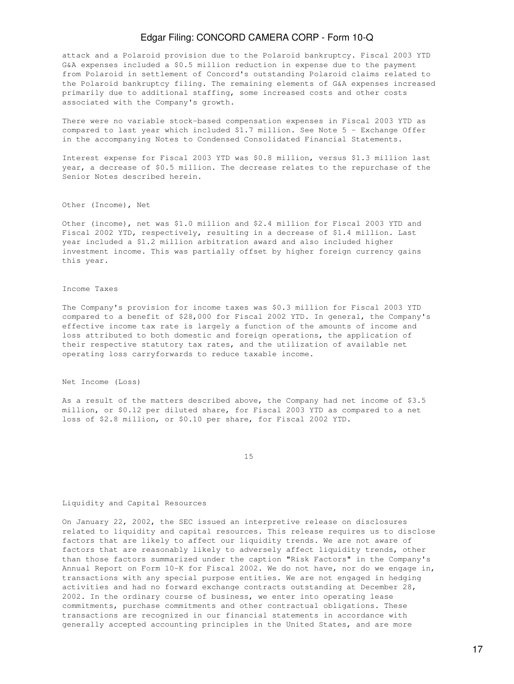attack and a Polaroid provision due to the Polaroid bankruptcy. Fiscal 2003 YTD G&A expenses included a \$0.5 million reduction in expense due to the payment from Polaroid in settlement of Concord's outstanding Polaroid claims related to the Polaroid bankruptcy filing. The remaining elements of G&A expenses increased primarily due to additional staffing, some increased costs and other costs associated with the Company's growth.

There were no variable stock-based compensation expenses in Fiscal 2003 YTD as compared to last year which included \$1.7 million. See Note 5 - Exchange Offer in the accompanying Notes to Condensed Consolidated Financial Statements.

Interest expense for Fiscal 2003 YTD was \$0.8 million, versus \$1.3 million last year, a decrease of \$0.5 million. The decrease relates to the repurchase of the Senior Notes described herein.

Other (Income), Net

Other (income), net was \$1.0 million and \$2.4 million for Fiscal 2003 YTD and Fiscal 2002 YTD, respectively, resulting in a decrease of \$1.4 million. Last year included a \$1.2 million arbitration award and also included higher investment income. This was partially offset by higher foreign currency gains this year.

#### Income Taxes

The Company's provision for income taxes was \$0.3 million for Fiscal 2003 YTD compared to a benefit of \$28,000 for Fiscal 2002 YTD. In general, the Company's effective income tax rate is largely a function of the amounts of income and loss attributed to both domestic and foreign operations, the application of their respective statutory tax rates, and the utilization of available net operating loss carryforwards to reduce taxable income.

Net Income (Loss)

As a result of the matters described above, the Company had net income of \$3.5 million, or \$0.12 per diluted share, for Fiscal 2003 YTD as compared to a net loss of \$2.8 million, or \$0.10 per share, for Fiscal 2002 YTD.

15

#### Liquidity and Capital Resources

On January 22, 2002, the SEC issued an interpretive release on disclosures related to liquidity and capital resources. This release requires us to disclose factors that are likely to affect our liquidity trends. We are not aware of factors that are reasonably likely to adversely affect liquidity trends, other than those factors summarized under the caption "Risk Factors" in the Company's Annual Report on Form 10-K for Fiscal 2002. We do not have, nor do we engage in, transactions with any special purpose entities. We are not engaged in hedging activities and had no forward exchange contracts outstanding at December 28, 2002. In the ordinary course of business, we enter into operating lease commitments, purchase commitments and other contractual obligations. These transactions are recognized in our financial statements in accordance with generally accepted accounting principles in the United States, and are more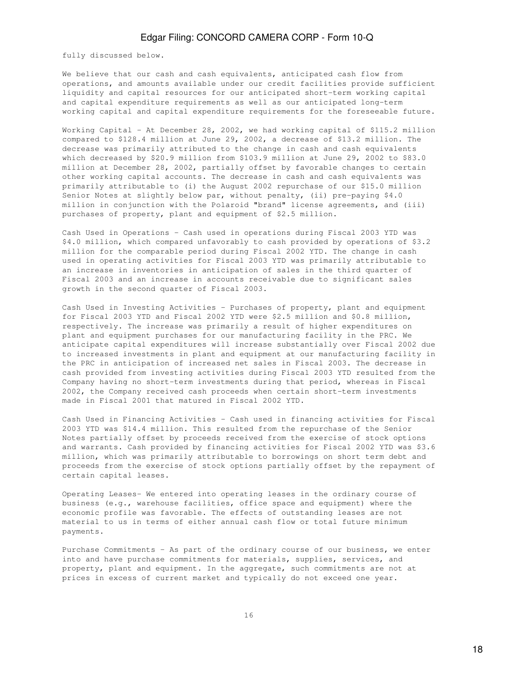fully discussed below.

We believe that our cash and cash equivalents, anticipated cash flow from operations, and amounts available under our credit facilities provide sufficient liquidity and capital resources for our anticipated short-term working capital and capital expenditure requirements as well as our anticipated long-term working capital and capital expenditure requirements for the foreseeable future.

Working Capital - At December 28, 2002, we had working capital of \$115.2 million compared to \$128.4 million at June 29, 2002, a decrease of \$13.2 million. The decrease was primarily attributed to the change in cash and cash equivalents which decreased by \$20.9 million from \$103.9 million at June 29, 2002 to \$83.0 million at December 28, 2002, partially offset by favorable changes to certain other working capital accounts. The decrease in cash and cash equivalents was primarily attributable to (i) the August 2002 repurchase of our \$15.0 million Senior Notes at slightly below par, without penalty, (ii) pre-paying \$4.0 million in conjunction with the Polaroid "brand" license agreements, and (iii) purchases of property, plant and equipment of \$2.5 million.

Cash Used in Operations - Cash used in operations during Fiscal 2003 YTD was \$4.0 million, which compared unfavorably to cash provided by operations of \$3.2 million for the comparable period during Fiscal 2002 YTD. The change in cash used in operating activities for Fiscal 2003 YTD was primarily attributable to an increase in inventories in anticipation of sales in the third quarter of Fiscal 2003 and an increase in accounts receivable due to significant sales growth in the second quarter of Fiscal 2003.

Cash Used in Investing Activities - Purchases of property, plant and equipment for Fiscal 2003 YTD and Fiscal 2002 YTD were \$2.5 million and \$0.8 million, respectively. The increase was primarily a result of higher expenditures on plant and equipment purchases for our manufacturing facility in the PRC. We anticipate capital expenditures will increase substantially over Fiscal 2002 due to increased investments in plant and equipment at our manufacturing facility in the PRC in anticipation of increased net sales in Fiscal 2003. The decrease in cash provided from investing activities during Fiscal 2003 YTD resulted from the Company having no short-term investments during that period, whereas in Fiscal 2002, the Company received cash proceeds when certain short-term investments made in Fiscal 2001 that matured in Fiscal 2002 YTD.

Cash Used in Financing Activities - Cash used in financing activities for Fiscal 2003 YTD was \$14.4 million. This resulted from the repurchase of the Senior Notes partially offset by proceeds received from the exercise of stock options and warrants. Cash provided by financing activities for Fiscal 2002 YTD was \$3.6 million, which was primarily attributable to borrowings on short term debt and proceeds from the exercise of stock options partially offset by the repayment of certain capital leases.

Operating Leases- We entered into operating leases in the ordinary course of business (e.g., warehouse facilities, office space and equipment) where the economic profile was favorable. The effects of outstanding leases are not material to us in terms of either annual cash flow or total future minimum payments.

Purchase Commitments - As part of the ordinary course of our business, we enter into and have purchase commitments for materials, supplies, services, and property, plant and equipment. In the aggregate, such commitments are not at prices in excess of current market and typically do not exceed one year.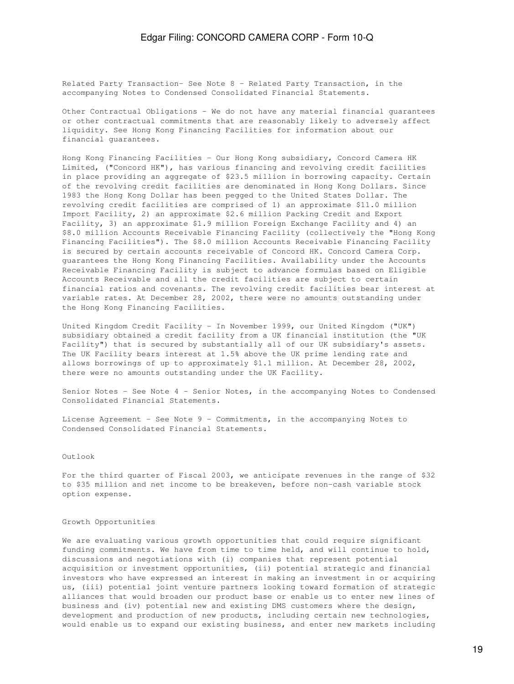Related Party Transaction- See Note 8 - Related Party Transaction, in the accompanying Notes to Condensed Consolidated Financial Statements.

Other Contractual Obligations - We do not have any material financial guarantees or other contractual commitments that are reasonably likely to adversely affect liquidity. See Hong Kong Financing Facilities for information about our financial guarantees.

Hong Kong Financing Facilities - Our Hong Kong subsidiary, Concord Camera HK Limited, ("Concord HK"), has various financing and revolving credit facilities in place providing an aggregate of \$23.5 million in borrowing capacity. Certain of the revolving credit facilities are denominated in Hong Kong Dollars. Since 1983 the Hong Kong Dollar has been pegged to the United States Dollar. The revolving credit facilities are comprised of 1) an approximate \$11.0 million Import Facility, 2) an approximate \$2.6 million Packing Credit and Export Facility, 3) an approximate \$1.9 million Foreign Exchange Facility and 4) an \$8.0 million Accounts Receivable Financing Facility (collectively the "Hong Kong Financing Facilities"). The \$8.0 million Accounts Receivable Financing Facility is secured by certain accounts receivable of Concord HK. Concord Camera Corp. guarantees the Hong Kong Financing Facilities. Availability under the Accounts Receivable Financing Facility is subject to advance formulas based on Eligible Accounts Receivable and all the credit facilities are subject to certain financial ratios and covenants. The revolving credit facilities bear interest at variable rates. At December 28, 2002, there were no amounts outstanding under the Hong Kong Financing Facilities.

United Kingdom Credit Facility - In November 1999, our United Kingdom ("UK") subsidiary obtained a credit facility from a UK financial institution (the "UK Facility") that is secured by substantially all of our UK subsidiary's assets. The UK Facility bears interest at 1.5% above the UK prime lending rate and allows borrowings of up to approximately \$1.1 million. At December 28, 2002, there were no amounts outstanding under the UK Facility.

Senior Notes - See Note 4 - Senior Notes, in the accompanying Notes to Condensed Consolidated Financial Statements.

License Agreement - See Note 9 - Commitments, in the accompanying Notes to Condensed Consolidated Financial Statements.

#### Outlook

For the third quarter of Fiscal 2003, we anticipate revenues in the range of \$32 to \$35 million and net income to be breakeven, before non-cash variable stock option expense.

#### Growth Opportunities

We are evaluating various growth opportunities that could require significant funding commitments. We have from time to time held, and will continue to hold, discussions and negotiations with (i) companies that represent potential acquisition or investment opportunities, (ii) potential strategic and financial investors who have expressed an interest in making an investment in or acquiring us, (iii) potential joint venture partners looking toward formation of strategic alliances that would broaden our product base or enable us to enter new lines of business and (iv) potential new and existing DMS customers where the design, development and production of new products, including certain new technologies, would enable us to expand our existing business, and enter new markets including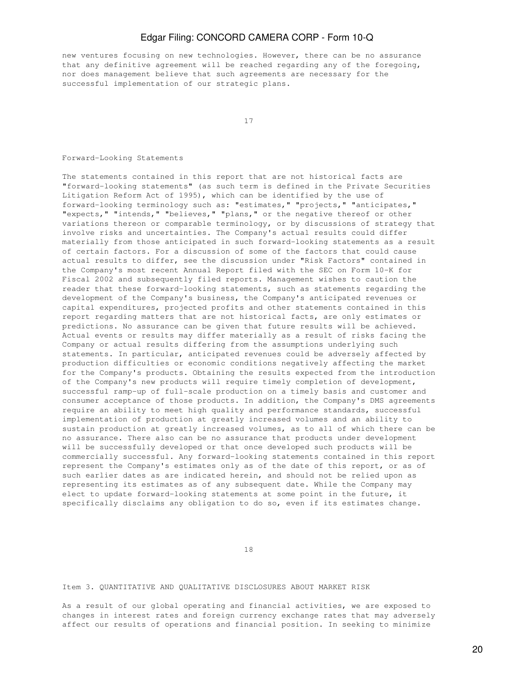new ventures focusing on new technologies. However, there can be no assurance that any definitive agreement will be reached regarding any of the foregoing, nor does management believe that such agreements are necessary for the successful implementation of our strategic plans.

17

#### Forward-Looking Statements

The statements contained in this report that are not historical facts are "forward-looking statements" (as such term is defined in the Private Securities Litigation Reform Act of 1995), which can be identified by the use of forward-looking terminology such as: "estimates," "projects," "anticipates," "expects," "intends," "believes," "plans," or the negative thereof or other variations thereon or comparable terminology, or by discussions of strategy that involve risks and uncertainties. The Company's actual results could differ materially from those anticipated in such forward-looking statements as a result of certain factors. For a discussion of some of the factors that could cause actual results to differ, see the discussion under "Risk Factors" contained in the Company's most recent Annual Report filed with the SEC on Form 10-K for Fiscal 2002 and subsequently filed reports. Management wishes to caution the reader that these forward-looking statements, such as statements regarding the development of the Company's business, the Company's anticipated revenues or capital expenditures, projected profits and other statements contained in this report regarding matters that are not historical facts, are only estimates or predictions. No assurance can be given that future results will be achieved. Actual events or results may differ materially as a result of risks facing the Company or actual results differing from the assumptions underlying such statements. In particular, anticipated revenues could be adversely affected by production difficulties or economic conditions negatively affecting the market for the Company's products. Obtaining the results expected from the introduction of the Company's new products will require timely completion of development, successful ramp-up of full-scale production on a timely basis and customer and consumer acceptance of those products. In addition, the Company's DMS agreements require an ability to meet high quality and performance standards, successful implementation of production at greatly increased volumes and an ability to sustain production at greatly increased volumes, as to all of which there can be no assurance. There also can be no assurance that products under development will be successfully developed or that once developed such products will be commercially successful. Any forward-looking statements contained in this report represent the Company's estimates only as of the date of this report, or as of such earlier dates as are indicated herein, and should not be relied upon as representing its estimates as of any subsequent date. While the Company may elect to update forward-looking statements at some point in the future, it specifically disclaims any obligation to do so, even if its estimates change.

18

#### Item 3. QUANTITATIVE AND QUALITATIVE DISCLOSURES ABOUT MARKET RISK

As a result of our global operating and financial activities, we are exposed to changes in interest rates and foreign currency exchange rates that may adversely affect our results of operations and financial position. In seeking to minimize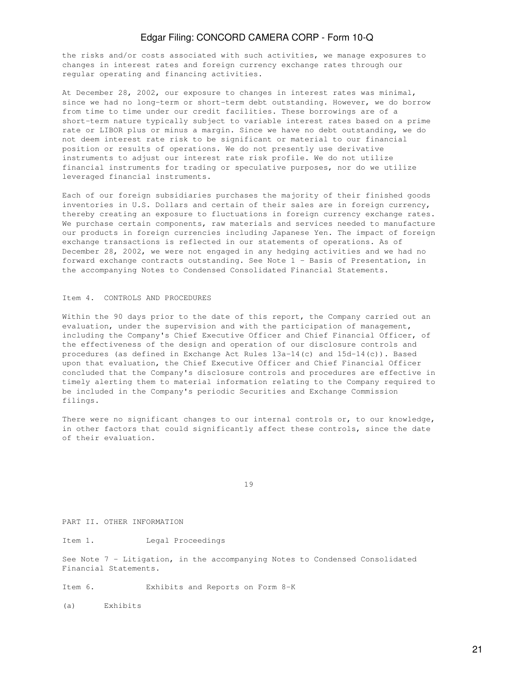the risks and/or costs associated with such activities, we manage exposures to changes in interest rates and foreign currency exchange rates through our regular operating and financing activities.

At December 28, 2002, our exposure to changes in interest rates was minimal, since we had no long-term or short-term debt outstanding. However, we do borrow from time to time under our credit facilities. These borrowings are of a short-term nature typically subject to variable interest rates based on a prime rate or LIBOR plus or minus a margin. Since we have no debt outstanding, we do not deem interest rate risk to be significant or material to our financial position or results of operations. We do not presently use derivative instruments to adjust our interest rate risk profile. We do not utilize financial instruments for trading or speculative purposes, nor do we utilize leveraged financial instruments.

Each of our foreign subsidiaries purchases the majority of their finished goods inventories in U.S. Dollars and certain of their sales are in foreign currency, thereby creating an exposure to fluctuations in foreign currency exchange rates. We purchase certain components, raw materials and services needed to manufacture our products in foreign currencies including Japanese Yen. The impact of foreign exchange transactions is reflected in our statements of operations. As of December 28, 2002, we were not engaged in any hedging activities and we had no forward exchange contracts outstanding. See Note 1 - Basis of Presentation, in the accompanying Notes to Condensed Consolidated Financial Statements.

### Item 4. CONTROLS AND PROCEDURES

Within the 90 days prior to the date of this report, the Company carried out an evaluation, under the supervision and with the participation of management, including the Company's Chief Executive Officer and Chief Financial Officer, of the effectiveness of the design and operation of our disclosure controls and procedures (as defined in Exchange Act Rules 13a-14(c) and 15d-14(c)). Based upon that evaluation, the Chief Executive Officer and Chief Financial Officer concluded that the Company's disclosure controls and procedures are effective in timely alerting them to material information relating to the Company required to be included in the Company's periodic Securities and Exchange Commission filings.

There were no significant changes to our internal controls or, to our knowledge, in other factors that could significantly affect these controls, since the date of their evaluation.

19

PART II. OTHER INFORMATION

Item 1. Legal Proceedings

See Note 7 - Litigation, in the accompanying Notes to Condensed Consolidated Financial Statements.

Item 6. Exhibits and Reports on Form 8-K

(a) Exhibits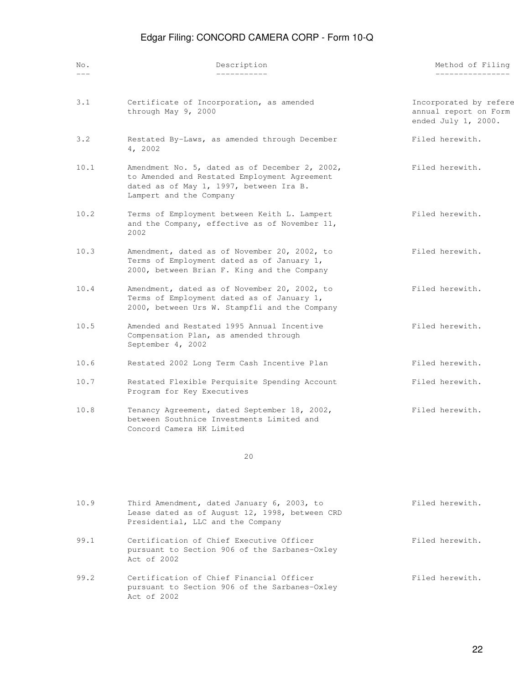| No.   | Description                                                                                                                                                          | Method of Filing                                                       |
|-------|----------------------------------------------------------------------------------------------------------------------------------------------------------------------|------------------------------------------------------------------------|
| $---$ | ___________                                                                                                                                                          | ________________                                                       |
| 3.1   | Certificate of Incorporation, as amended<br>through May 9, 2000                                                                                                      | Incorporated by refere<br>annual report on Form<br>ended July 1, 2000. |
| 3.2   | Restated By-Laws, as amended through December<br>4, 2002                                                                                                             | Filed herewith.                                                        |
| 10.1  | Amendment No. 5, dated as of December 2, 2002,<br>to Amended and Restated Employment Agreement<br>dated as of May 1, 1997, between Ira B.<br>Lampert and the Company | Filed herewith.                                                        |
| 10.2  | Terms of Employment between Keith L. Lampert<br>and the Company, effective as of November 11,<br>2002                                                                | Filed herewith.                                                        |
| 10.3  | Amendment, dated as of November 20, 2002, to<br>Terms of Employment dated as of January 1,<br>2000, between Brian F. King and the Company                            | Filed herewith.                                                        |
| 10.4  | Amendment, dated as of November 20, 2002, to<br>Terms of Employment dated as of January 1,<br>2000, between Urs W. Stampfli and the Company                          | Filed herewith.                                                        |
| 10.5  | Amended and Restated 1995 Annual Incentive<br>Compensation Plan, as amended through<br>September 4, 2002                                                             | Filed herewith.                                                        |
| 10.6  | Restated 2002 Long Term Cash Incentive Plan                                                                                                                          | Filed herewith.                                                        |
| 10.7  | Restated Flexible Perquisite Spending Account<br>Program for Key Executives                                                                                          | Filed herewith.                                                        |
| 10.8  | Tenancy Agreement, dated September 18, 2002,<br>between Southnice Investments Limited and<br>Concord Camera HK Limited                                               | Filed herewith.                                                        |

20

| 10.9 | Third Amendment, dated January 6, 2003, to<br>Lease dated as of August 12, 1998, between CRD<br>Presidential, LLC and the Company | Filed herewith. |
|------|-----------------------------------------------------------------------------------------------------------------------------------|-----------------|
| 99.1 | Certification of Chief Executive Officer<br>pursuant to Section 906 of the Sarbanes-Oxley<br>Act. of 2002                         | Filed herewith. |
| 99.2 | Certification of Chief Financial Officer<br>pursuant to Section 906 of the Sarbanes-Oxley<br>Act. of 2002                         | Filed herewith. |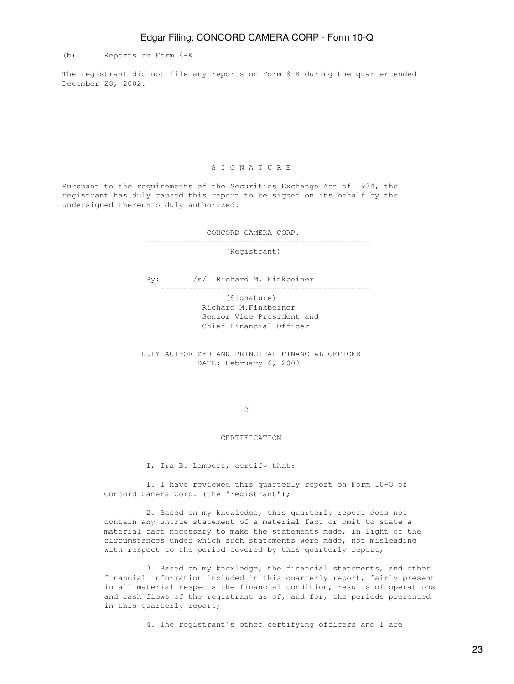(b) Reports on Form 8-K

The registrant did not file any reports on Form 8-K during the quarter ended December 28, 2002.

### S I G N A T U R E

Pursuant to the requirements of the Securities Exchange Act of 1934, the registrant has duly caused this report to be signed on its behalf by the undersigned thereunto duly authorized.

CONCORD CAMERA CORP.

(Registrant)

------------------------------------------------

By: /s/ Richard M. Finkbeiner

---------------------------------------------

 (Signature) Richard M.Finkbeiner Senior Vice President and Chief Financial Officer

 DULY AUTHORIZED AND PRINCIPAL FINANCIAL OFFICER DATE: February 6, 2003

21

### CERTIFICATION

I, Ira B. Lampert, certify that:

 1. I have reviewed this quarterly report on Form 10-Q of Concord Camera Corp. (the "registrant");

 2. Based on my knowledge, this quarterly report does not contain any untrue statement of a material fact or omit to state a material fact necessary to make the statements made, in light of the circumstances under which such statements were made, not misleading with respect to the period covered by this quarterly report;

 3. Based on my knowledge, the financial statements, and other financial information included in this quarterly report, fairly present in all material respects the financial condition, results of operations and cash flows of the registrant as of, and for, the periods presented in this quarterly report;

4. The registrant's other certifying officers and I are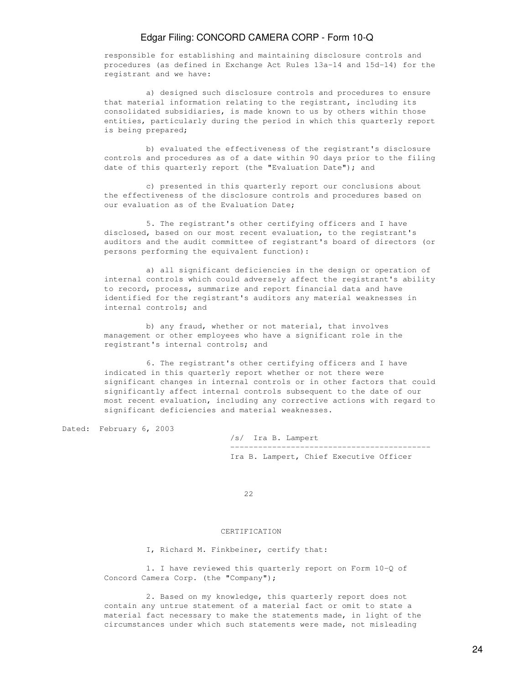responsible for establishing and maintaining disclosure controls and procedures (as defined in Exchange Act Rules 13a-14 and 15d-14) for the registrant and we have:

 a) designed such disclosure controls and procedures to ensure that material information relating to the registrant, including its consolidated subsidiaries, is made known to us by others within those entities, particularly during the period in which this quarterly report is being prepared;

 b) evaluated the effectiveness of the registrant's disclosure controls and procedures as of a date within 90 days prior to the filing date of this quarterly report (the "Evaluation Date"); and

 c) presented in this quarterly report our conclusions about the effectiveness of the disclosure controls and procedures based on our evaluation as of the Evaluation Date;

 5. The registrant's other certifying officers and I have disclosed, based on our most recent evaluation, to the registrant's auditors and the audit committee of registrant's board of directors (or persons performing the equivalent function):

 a) all significant deficiencies in the design or operation of internal controls which could adversely affect the registrant's ability to record, process, summarize and report financial data and have identified for the registrant's auditors any material weaknesses in internal controls; and

 b) any fraud, whether or not material, that involves management or other employees who have a significant role in the registrant's internal controls; and

 6. The registrant's other certifying officers and I have indicated in this quarterly report whether or not there were significant changes in internal controls or in other factors that could significantly affect internal controls subsequent to the date of our most recent evaluation, including any corrective actions with regard to significant deficiencies and material weaknesses.

Dated: February 6, 2003

|  |  | /s/ Ira B. Lampert |                                         |  |
|--|--|--------------------|-----------------------------------------|--|
|  |  |                    |                                         |  |
|  |  |                    | Ira B. Lampert, Chief Executive Officer |  |

<u>22</u>

### CERTIFICATION

I, Richard M. Finkbeiner, certify that:

 1. I have reviewed this quarterly report on Form 10-Q of Concord Camera Corp. (the "Company");

 2. Based on my knowledge, this quarterly report does not contain any untrue statement of a material fact or omit to state a material fact necessary to make the statements made, in light of the circumstances under which such statements were made, not misleading